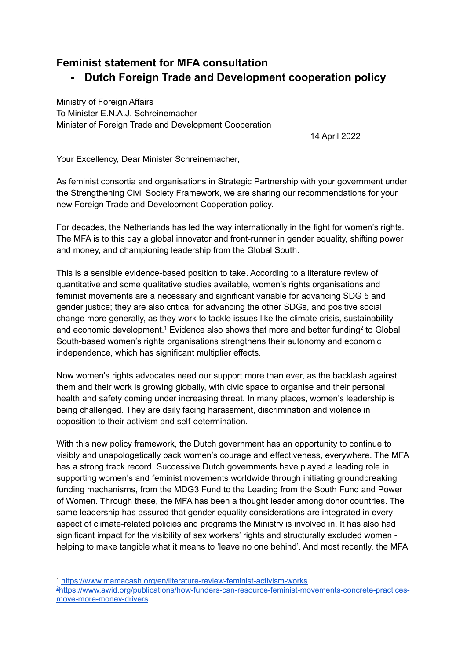## **Feminist statement for MFA consultation - Dutch Foreign Trade and Development cooperation policy**

Ministry of Foreign Affairs To Minister E.N.A.J. Schreinemacher Minister of Foreign Trade and Development Cooperation

14 April 2022

Your Excellency, Dear Minister Schreinemacher,

As feminist consortia and organisations in Strategic Partnership with your government under the Strengthening Civil Society Framework, we are sharing our recommendations for your new Foreign Trade and Development Cooperation policy.

For decades, the Netherlands has led the way internationally in the fight for women's rights. The MFA is to this day a global innovator and front-runner in gender equality, shifting power and money, and championing leadership from the Global South.

This is a sensible evidence-based position to take. According to a literature review of quantitative and some qualitative studies available, women's rights organisations and feminist movements are a necessary and significant variable for advancing SDG 5 and gender justice; they are also critical for advancing the other SDGs, and positive social change more generally, as they work to tackle issues like the climate crisis, sustainability and economic development.<sup>1</sup> Evidence also shows that more and better funding<sup>2</sup> to Global South-based women's rights organisations strengthens their autonomy and economic independence, which has significant multiplier effects.

Now women's rights advocates need our support more than ever, as the backlash against them and their work is growing globally, with civic space to organise and their personal health and safety coming under increasing threat. In many places, women's leadership is being challenged. They are daily facing harassment, discrimination and violence in opposition to their activism and self-determination.

With this new policy framework, the Dutch government has an opportunity to continue to visibly and unapologetically back women's courage and effectiveness, everywhere. The MFA has a strong track record. Successive Dutch governments have played a leading role in supporting women's and feminist movements worldwide through initiating groundbreaking funding mechanisms, from the MDG3 Fund to the Leading from the South Fund and Power of Women. Through these, the MFA has been a thought leader among donor countries. The same leadership has assured that gender equality considerations are integrated in every aspect of climate-related policies and programs the Ministry is involved in. It has also had significant impact for the visibility of sex workers' rights and structurally excluded women helping to make tangible what it means to 'leave no one behind'. And most recently, the MFA

<sup>1</sup> https://www.mamacash.org/en/literature-review-feminist-activism-works

<sup>2</sup>https://www.awid.org/publications/how-funders-can-resource-feminist-movements-concrete-practicesmove-more-money-drivers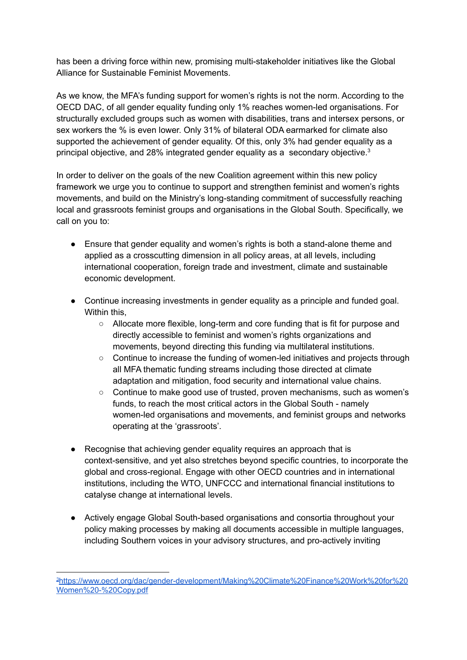has been a driving force within new, promising multi-stakeholder initiatives like the Global Alliance for Sustainable Feminist Movements.

As we know, the MFA's funding support for women's rights is not the norm. According to the OECD DAC, of all gender equality funding only 1% reaches women-led organisations. For structurally excluded groups such as women with disabilities, trans and intersex persons, or sex workers the % is even lower. Only 31% of bilateral ODA earmarked for climate also supported the achievement of gender equality. Of this, only 3% had gender equality as a principal objective, and 28% integrated gender equality as a secondary objective.<sup>3</sup>

In order to deliver on the goals of the new Coalition agreement within this new policy framework we urge you to continue to support and strengthen feminist and women's rights movements, and build on the Ministry's long-standing commitment of successfully reaching local and grassroots feminist groups and organisations in the Global South. Specifically, we call on you to:

- Ensure that gender equality and women's rights is both a stand-alone theme and applied as a crosscutting dimension in all policy areas, at all levels, including international cooperation, foreign trade and investment, climate and sustainable economic development.
- Continue increasing investments in gender equality as a principle and funded goal. Within this,
	- Allocate more flexible, long-term and core funding that is fit for purpose and directly accessible to feminist and women's rights organizations and movements, beyond directing this funding via multilateral institutions.
	- Continue to increase the funding of women-led initiatives and projects through all MFA thematic funding streams including those directed at climate adaptation and mitigation, food security and international value chains.
	- Continue to make good use of trusted, proven mechanisms, such as women's funds, to reach the most critical actors in the Global South - namely women-led organisations and movements, and feminist groups and networks operating at the 'grassroots'.
- Recognise that achieving gender equality requires an approach that is context-sensitive, and yet also stretches beyond specific countries, to incorporate the global and cross-regional. Engage with other OECD countries and in international institutions, including the WTO, UNFCCC and international financial institutions to catalyse change at international levels.
- Actively engage Global South-based organisations and consortia throughout your policy making processes by making all documents accessible in multiple languages, including Southern voices in your advisory structures, and pro-actively inviting

<sup>3</sup>[https://www.oecd.org/dac/gender-development/Making%20Climate%20Finance%20Work%20for%20](https://www.oecd.org/dac/gender-development/Making%20Climate%20Finance%20Work%20for%20Women%20-%20Copy.pdf) [Women%20-%20Copy.pdf](https://www.oecd.org/dac/gender-development/Making%20Climate%20Finance%20Work%20for%20Women%20-%20Copy.pdf)